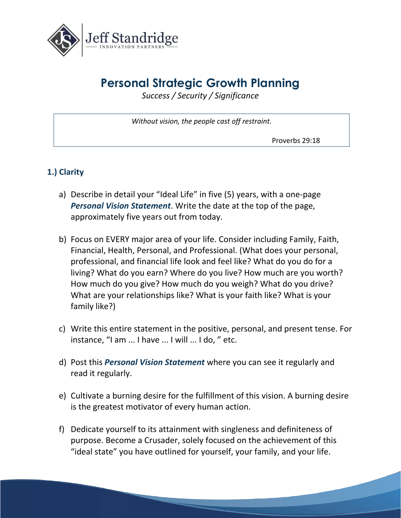

## **Personal Strategic Growth Planning**

*Success / Security / Significance*

*Without vision, the people cast off restraint.*

Proverbs 29:18

## **1.) Clarity**

- a) Describe in detail your "Ideal Life" in five (5) years, with a one-page *Personal Vision Statement*. Write the date at the top of the page, approximately five years out from today.
- b) Focus on EVERY major area of your life. Consider including Family, Faith, Financial, Health, Personal, and Professional. (What does your personal, professional, and financial life look and feel like? What do you do for a living? What do you earn? Where do you live? How much are you worth? How much do you give? How much do you weigh? What do you drive? What are your relationships like? What is your faith like? What is your family like?)
- c) Write this entire statement in the positive, personal, and present tense. For instance, "I am ... I have ... I will ... I do, " etc.
- d) Post this *Personal Vision Statement* where you can see it regularly and read it regularly.
- e) Cultivate a burning desire for the fulfillment of this vision. A burning desire is the greatest motivator of every human action.
- f) Dedicate yourself to its attainment with singleness and definiteness of purpose. Become a Crusader, solely focused on the achievement of this "ideal state" you have outlined for yourself, your family, and your life.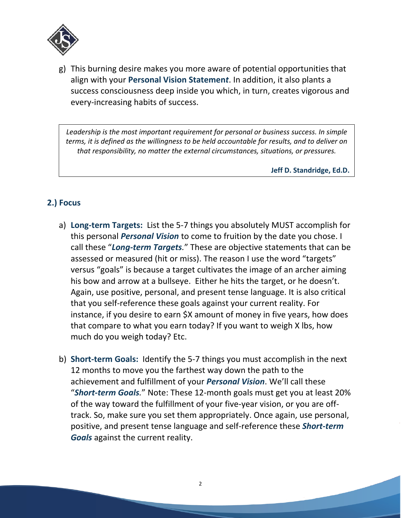

g) This burning desire makes you more aware of potential opportunities that align with your **Personal Vision Statemen***t*. In addition, it also plants a success consciousness deep inside you which, in turn, creates vigorous and every-increasing habits of success.

*Leadership is the most important requirement for personal or business success. In simple terms, it is defined as the willingness to be held accountable for results, and to deliver on that responsibility, no matter the external circumstances, situations, or pressures.*

**Jeff D. Standridge, Ed.D.**

### **2.) Focus**

- a) **Long-term Targets:** List the 5-7 things you absolutely MUST accomplish for this personal *Personal Vision* to come to fruition by the date you chose. I call these "*Long-term Targets.*" These are objective statements that can be assessed or measured (hit or miss). The reason I use the word "targets" versus "goals" is because a target cultivates the image of an archer aiming his bow and arrow at a bullseye. Either he hits the target, or he doesn't. Again, use positive, personal, and present tense language. It is also critical that you self-reference these goals against your current reality. For instance, if you desire to earn \$X amount of money in five years, how does that compare to what you earn today? If you want to weigh X lbs, how much do you weigh today? Etc.
- b) **Short-term Goals:** Identify the 5-7 things you must accomplish in the next 12 months to move you the farthest way down the path to the achievement and fulfillment of your *Personal Vision*. We'll call these "*Short-term Goals.*" Note: These 12-month goals must get you at least 20% of the way toward the fulfillment of your five-year vision, or you are offtrack. So, make sure you set them appropriately. Once again, use personal, positive, and present tense language and self-reference these *Short-term Goals* against the current reality.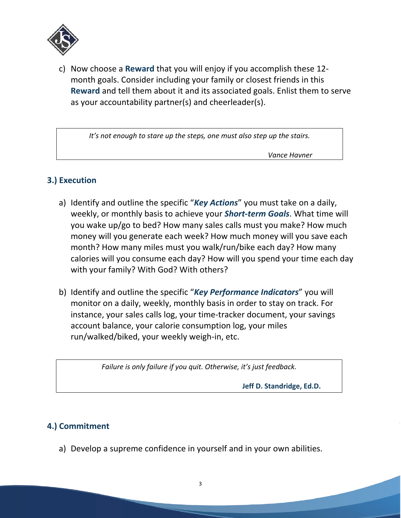

c) Now choose a **Reward** that you will enjoy if you accomplish these 12 month goals. Consider including your family or closest friends in this **Reward** and tell them about it and its associated goals. Enlist them to serve as your accountability partner(s) and cheerleader(s).

*It's not enough to stare up the steps, one must also step up the stairs.*

 *Vance Havner* 

### **3.) Execution**

- a) Identify and outline the specific "*Key Actions*" you must take on a daily, weekly, or monthly basis to achieve your *Short-term Goals*. What time will you wake up/go to bed? How many sales calls must you make? How much money will you generate each week? How much money will you save each month? How many miles must you walk/run/bike each day? How many calories will you consume each day? How will you spend your time each day with your family? With God? With others?
- b) Identify and outline the specific "*Key Performance Indicators*" you will monitor on a daily, weekly, monthly basis in order to stay on track. For instance, your sales calls log, your time-tracker document, your savings account balance, your calorie consumption log, your miles run/walked/biked, your weekly weigh-in, etc.

*Failure is only failure if you quit. Otherwise, it's just feedback.*

**Jeff D. Standridge, Ed.D.** 

### **4.) Commitment**

a) Develop a supreme confidence in yourself and in your own abilities.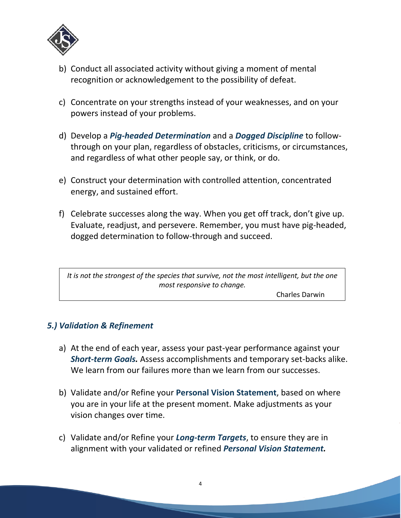

- b) Conduct all associated activity without giving a moment of mental recognition or acknowledgement to the possibility of defeat.
- c) Concentrate on your strengths instead of your weaknesses, and on your powers instead of your problems.
- d) Develop a *Pig-headed Determination* and a *Dogged Discipline* to followthrough on your plan, regardless of obstacles, criticisms, or circumstances, and regardless of what other people say, or think, or do.
- e) Construct your determination with controlled attention, concentrated energy, and sustained effort.
- f) Celebrate successes along the way. When you get off track, don't give up. Evaluate, readjust, and persevere. Remember, you must have pig-headed, dogged determination to follow-through and succeed.

*It is not the strongest of the species that survive, not the most intelligent, but the one most responsive to change.*

Charles Darwin

#### *5.) Validation & Refinement*

- a) At the end of each year, assess your past-year performance against your *Short-term Goals.* Assess accomplishments and temporary set-backs alike. We learn from our failures more than we learn from our successes.
- b) Validate and/or Refine your **Personal Vision Statement**, based on where you are in your life at the present moment. Make adjustments as your vision changes over time.
- c) Validate and/or Refine your *Long-term Targets*, to ensure they are in alignment with your validated or refined *Personal Vision Statement.*

4